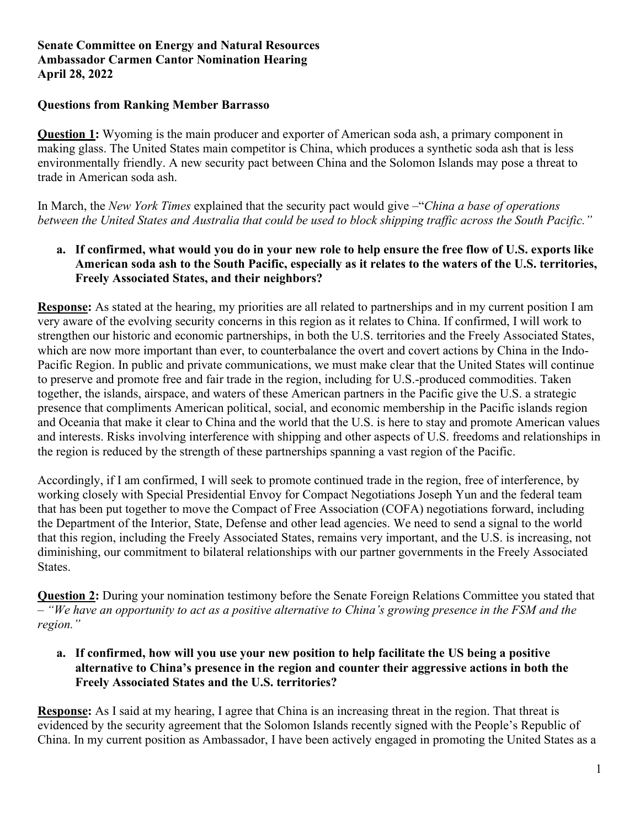# **Senate Committee on Energy and Natural Resources Ambassador Carmen Cantor Nomination Hearing April 28, 2022**

### **Questions from Ranking Member Barrasso**

**Question 1:** Wyoming is the main producer and exporter of American soda ash, a primary component in making glass. The United States main competitor is China, which produces a synthetic soda ash that is less environmentally friendly. A new security pact between China and the Solomon Islands may pose a threat to trade in American soda ash.

In March, the *New York Times* explained that the security pact would give –"*China a base of operations between the United States and Australia that could be used to block shipping traffic across the South Pacific."*

# **a. If confirmed, what would you do in your new role to help ensure the free flow of U.S. exports like American soda ash to the South Pacific, especially as it relates to the waters of the U.S. territories, Freely Associated States, and their neighbors?**

**Response:** As stated at the hearing, my priorities are all related to partnerships and in my current position I am very aware of the evolving security concerns in this region as it relates to China. If confirmed, I will work to strengthen our historic and economic partnerships, in both the U.S. territories and the Freely Associated States, which are now more important than ever, to counterbalance the overt and covert actions by China in the Indo-Pacific Region. In public and private communications, we must make clear that the United States will continue to preserve and promote free and fair trade in the region, including for U.S.-produced commodities. Taken together, the islands, airspace, and waters of these American partners in the Pacific give the U.S. a strategic presence that compliments American political, social, and economic membership in the Pacific islands region and Oceania that make it clear to China and the world that the U.S. is here to stay and promote American values and interests. Risks involving interference with shipping and other aspects of U.S. freedoms and relationships in the region is reduced by the strength of these partnerships spanning a vast region of the Pacific.

Accordingly, if I am confirmed, I will seek to promote continued trade in the region, free of interference, by working closely with Special Presidential Envoy for Compact Negotiations Joseph Yun and the federal team that has been put together to move the Compact of Free Association (COFA) negotiations forward, including the Department of the Interior, State, Defense and other lead agencies. We need to send a signal to the world that this region, including the Freely Associated States, remains very important, and the U.S. is increasing, not diminishing, our commitment to bilateral relationships with our partner governments in the Freely Associated States.

**Question 2:** During your nomination testimony before the Senate Foreign Relations Committee you stated that – *"We have an opportunity to act as a positive alternative to China's growing presence in the FSM and the region."*

**a. If confirmed, how will you use your new position to help facilitate the US being a positive alternative to China's presence in the region and counter their aggressive actions in both the Freely Associated States and the U.S. territories?**

**Response:** As I said at my hearing, I agree that China is an increasing threat in the region. That threat is evidenced by the security agreement that the Solomon Islands recently signed with the People's Republic of China. In my current position as Ambassador, I have been actively engaged in promoting the United States as a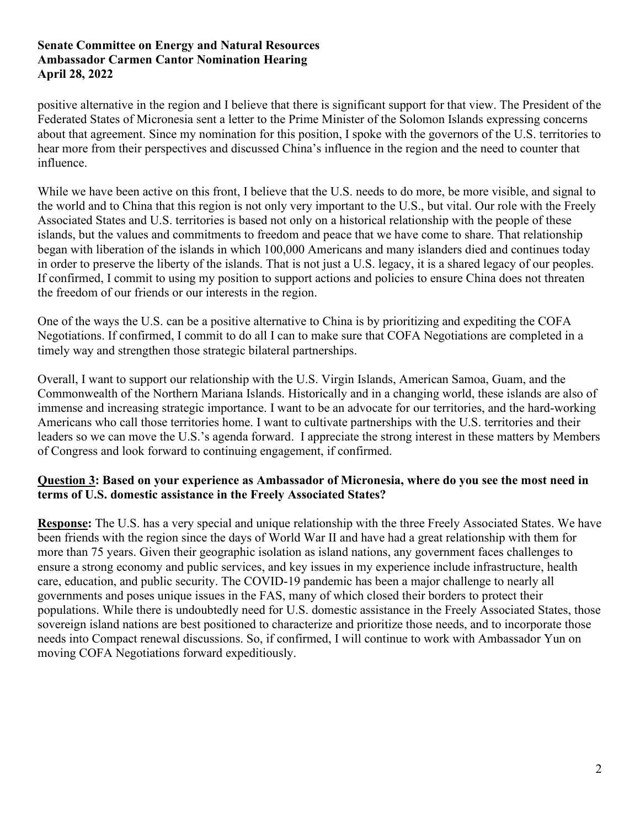# **Senate Committee on Energy and Natural Resources Ambassador Carmen Cantor Nomination Hearing April 28, 2022**

positive alternative in the region and I believe that there is significant support for that view. The President of the Federated States of Micronesia sent a letter to the Prime Minister of the Solomon Islands expressing concerns about that agreement. Since my nomination for this position, I spoke with the governors of the U.S. territories to hear more from their perspectives and discussed China's influence in the region and the need to counter that influence.

While we have been active on this front, I believe that the U.S. needs to do more, be more visible, and signal to the world and to China that this region is not only very important to the U.S., but vital. Our role with the Freely Associated States and U.S. territories is based not only on a historical relationship with the people of these islands, but the values and commitments to freedom and peace that we have come to share. That relationship began with liberation of the islands in which 100,000 Americans and many islanders died and continues today in order to preserve the liberty of the islands. That is not just a U.S. legacy, it is a shared legacy of our peoples. If confirmed, I commit to using my position to support actions and policies to ensure China does not threaten the freedom of our friends or our interests in the region.

One of the ways the U.S. can be a positive alternative to China is by prioritizing and expediting the COFA Negotiations. If confirmed, I commit to do all I can to make sure that COFA Negotiations are completed in a timely way and strengthen those strategic bilateral partnerships.

Overall, I want to support our relationship with the U.S. Virgin Islands, American Samoa, Guam, and the Commonwealth of the Northern Mariana Islands. Historically and in a changing world, these islands are also of immense and increasing strategic importance. I want to be an advocate for our territories, and the hard-working Americans who call those territories home. I want to cultivate partnerships with the U.S. territories and their leaders so we can move the U.S.'s agenda forward. I appreciate the strong interest in these matters by Members of Congress and look forward to continuing engagement, if confirmed.

#### **Question 3: Based on your experience as Ambassador of Micronesia, where do you see the most need in terms of U.S. domestic assistance in the Freely Associated States?**

**Response:** The U.S. has a very special and unique relationship with the three Freely Associated States. We have been friends with the region since the days of World War II and have had a great relationship with them for more than 75 years. Given their geographic isolation as island nations, any government faces challenges to ensure a strong economy and public services, and key issues in my experience include infrastructure, health care, education, and public security. The COVID-19 pandemic has been a major challenge to nearly all governments and poses unique issues in the FAS, many of which closed their borders to protect their populations. While there is undoubtedly need for U.S. domestic assistance in the Freely Associated States, those sovereign island nations are best positioned to characterize and prioritize those needs, and to incorporate those needs into Compact renewal discussions. So, if confirmed, I will continue to work with Ambassador Yun on moving COFA Negotiations forward expeditiously.